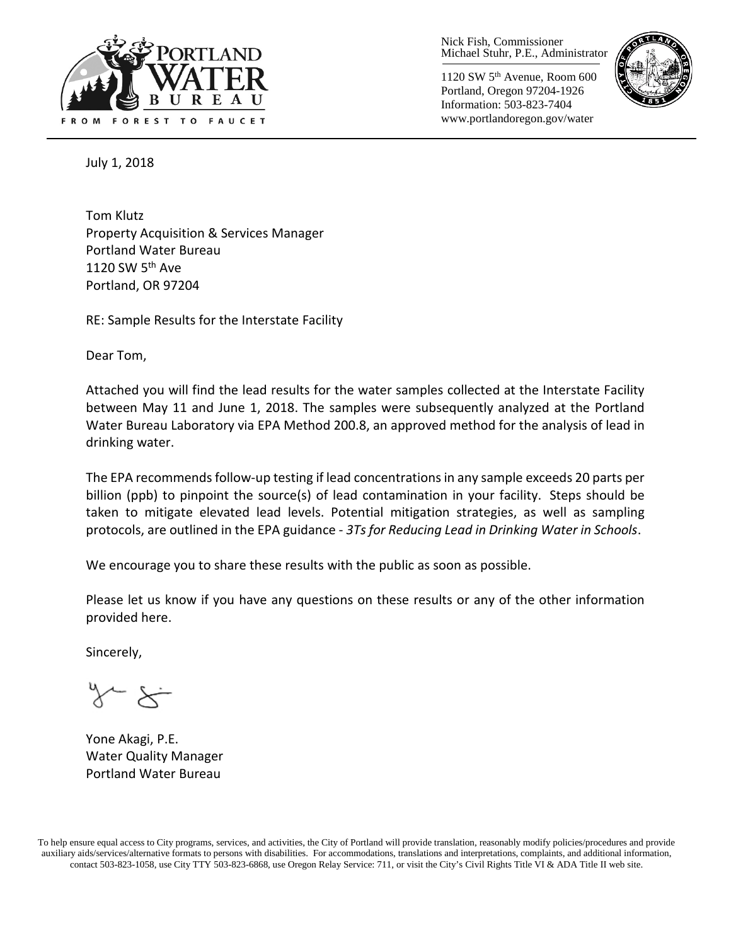

Nick Fish, Commissioner Michael Stuhr, P.E., Administrator

1120 SW 5th Avenue, Room 600 Portland, Oregon 97204-1926 Information: 503-823-7404 www.portlandoregon.gov/water



July 1, 2018

Tom Klutz Property Acquisition & Services Manager Portland Water Bureau 1120 SW  $5<sup>th</sup>$  Ave Portland, OR 97204

RE: Sample Results for the Interstate Facility

Dear Tom,

Attached you will find the lead results for the water samples collected at the Interstate Facility between May 11 and June 1, 2018. The samples were subsequently analyzed at the Portland Water Bureau Laboratory via EPA Method 200.8, an approved method for the analysis of lead in drinking water.

The EPA recommends follow-up testing if lead concentrations in any sample exceeds 20 parts per billion (ppb) to pinpoint the source(s) of lead contamination in your facility. Steps should be taken to mitigate elevated lead levels. Potential mitigation strategies, as well as sampling protocols, are outlined in the EPA guidance - *3Ts for Reducing Lead in Drinking Water in Schools*.

We encourage you to share these results with the public as soon as possible.

Please let us know if you have any questions on these results or any of the other information provided here.

Sincerely,

∻≺ ~

Yone Akagi, P.E. Water Quality Manager Portland Water Bureau

To help ensure equal access to City programs, services, and activities, the City of Portland will provide translation, reasonably modify policies/procedures and provide auxiliary aids/services/alternative formats to persons with disabilities. For accommodations, translations and interpretations, complaints, and additional information, contact 503-823-1058, use City TTY 503-823-6868, use Oregon Relay Service: 711, or visi[t the City's Civil Rights Title VI & ADA Title II web site.](http://www.portlandoregon.gov/oehr/66458)